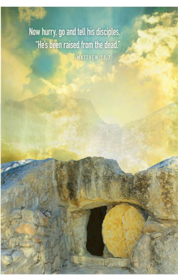Now hurry, go and tell his disciples. "He's been raised from the dead."

-MATTHEW 28.7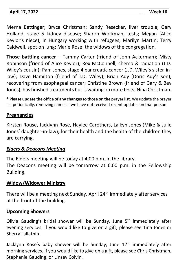## **April 17, 2022 Week 16**

Merna Bettinger; Bryce Christman; Sandy Resecker, liver trouble; Gary Holland, stage 5 kidney disease; Sharon Workman, tests; Megan (Alice Keylor's niece), in Hungary working with refugees; Marilyn Martin; Terry Caldwell, spot on lung; Marie Rose; the widows of the congregation.

**Those battling cancer** – Tammy Carter (friend of John Ackerman); Misty Robinson (friend of Alice Keylor); Rex McConnell, chemo & radiation (J.D. Wiley's cousin); Pam Jones, stage 4 pancreatic cancer (J.D. Wiley's sister-inlaw); Dave Hamilton (friend of J.D. Wiley); Brian Ady (Doris Ady's son), recovering from esophageal cancer; Christine Brown (friend of Gary & Bev Jones), has finished treatments but is waiting on more tests; Nina Christman.

**\* Please update the office of any changes to those on the prayer list.** We update the prayer list periodically, removing names if we have not received recent updates on that person.

### **Pregnancies**

Kirsten Rouse, Jacklynn Rose, Haylee Carothers, Laikyn Jones (Mike & Julie Jones' daughter-in-law); for their health and the health of the children they are carrying.

### *Elders & Deacons Meeting*

The Elders meeting will be today at 4:00 p.m. in the library.

The Deacons meeting will be tomorrow at 6:00 p.m. in the Fellowship Building.

### **Widow/Widower Ministry**

There will be a meeting next Sunday, April 24<sup>th</sup> immediately after services at the front of the building.

### **Upcoming Showers**

Olivia Gauding's bridal shower will be Sunday, June  $5<sup>th</sup>$  immediately after evening services. If you would like to give on a gift, please see Tina Jones or Sherry Lallathin.

Jacklynn Rose's baby shower will be Sunday, June 12<sup>th</sup> immediately after morning services. If you would like to give on a gift, please see Chris Christman, Stephanie Gauding, or Linsey Colvin.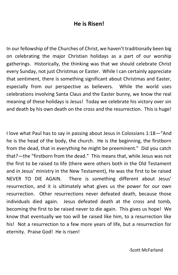### **He is Risen!**

In our fellowship of the Churches of Christ, we haven't traditionally been big on celebrating the major Christian holidays as a part of our worship gatherings. Historically, the thinking was that we should celebrate Christ every Sunday, not just Christmas or Easter. While I can certainly appreciate that sentiment, there is something significant about Christmas and Easter, especially from our perspective as believers. While the world uses celebrations involving Santa Claus and the Easter bunny, we know the real meaning of these holidays is Jesus! Today we celebrate his victory over sin and death by his own death on the cross and the resurrection. This is huge!

I love what Paul has to say in passing about Jesus in Colossians 1:18—"And he is the head of the body, the church. He is the beginning, the firstborn from the dead, that in everything he might be preeminent." Did you catch that?—the "firstborn from the dead." This means that, while Jesus was not the first to be raised to life (there were others both in the Old Testament and in Jesus' ministry in the New Testament), He was the first to be raised NEVER TO DIE AGAIN. There is something different about Jesus' resurrection, and it is ultimately what gives us the power for our own resurrection. Other resurrections never defeated death, because those individuals died again. Jesus defeated death at the cross and tomb, becoming the first to be raised never to die again. This gives us hope! We know that eventually we too will be raised like him, to a resurrection like his! Not a resurrection to a few more years of life, but a resurrection for eternity. Praise God! He is risen!